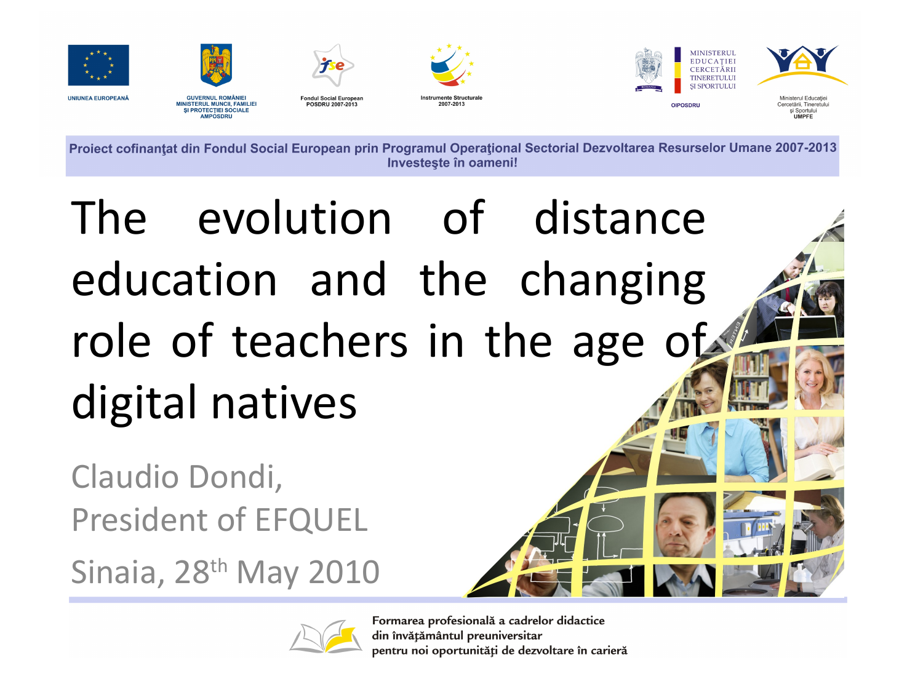

Proiect cofinanțat din Fondul Social European prin Programul Operațional Sectorial Dezvoltarea Resurselor Umane 2007-2013 Investeste în oameni!

## The evolution of distance education and the changing role of teachers in the age of digital natives

Claudio Dondi, President of EFQUEL

Sinaia, 28th May 2010



Formarea profesională a cadrelor didactice din învățământul preuniversitar pentru noi oportunități de dezvoltare în carieră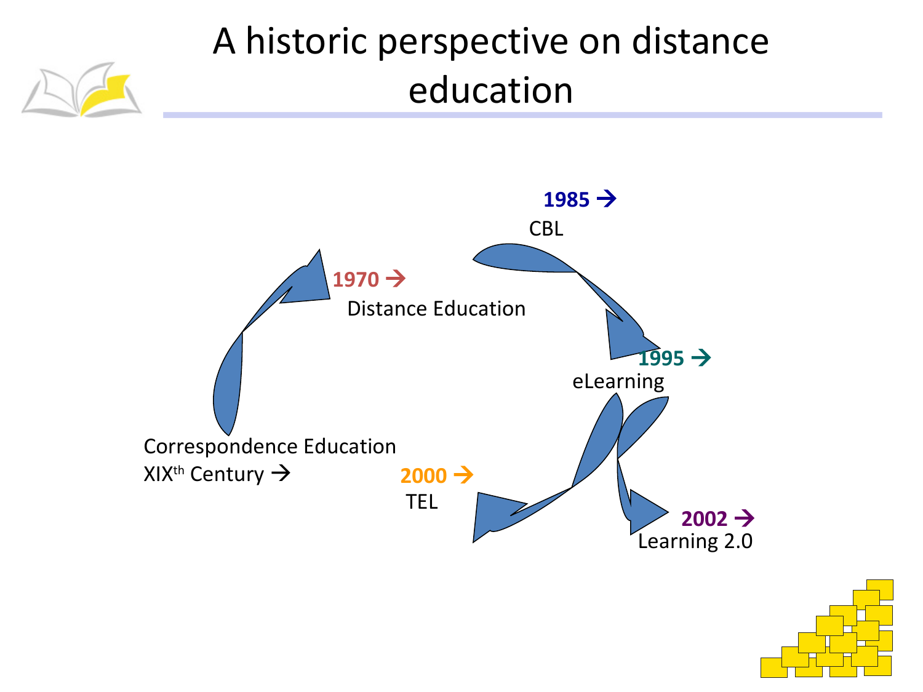#### A historic perspective on distance education



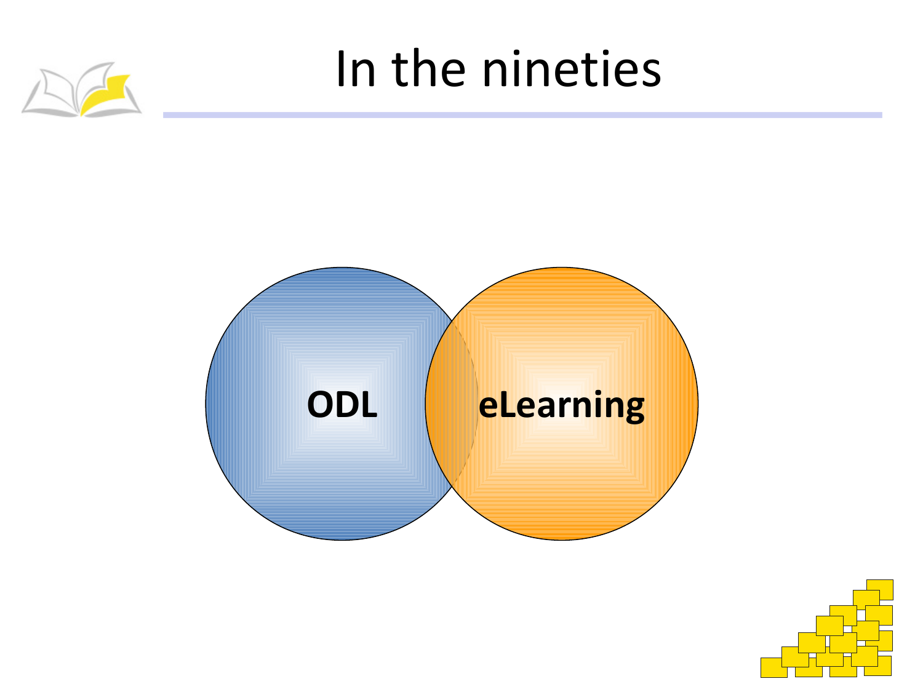

#### In the nineties



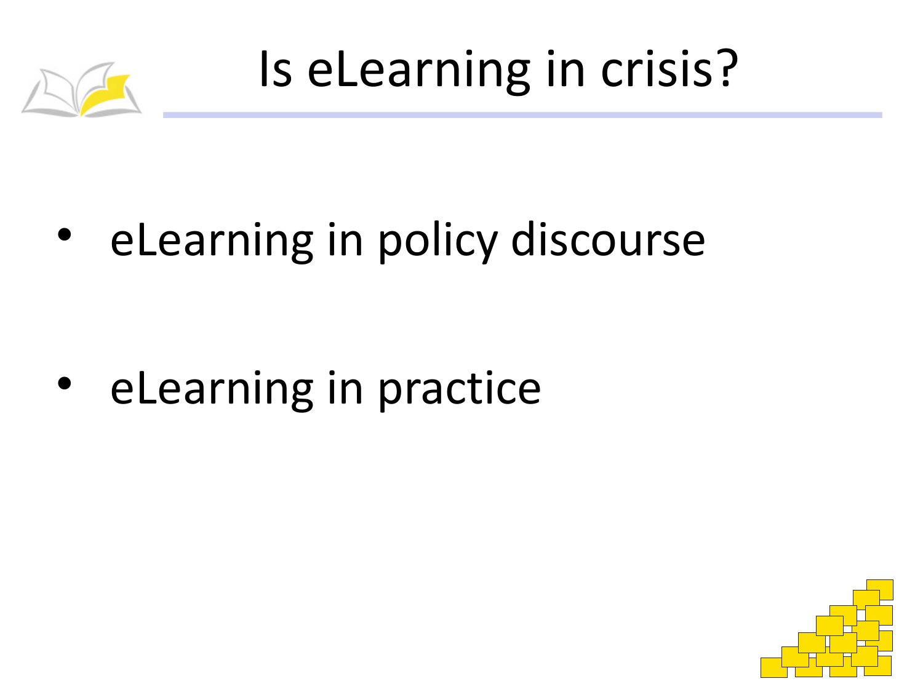

Is eLearning in crisis?

eLearning in policy discourse

• eLearning in practice

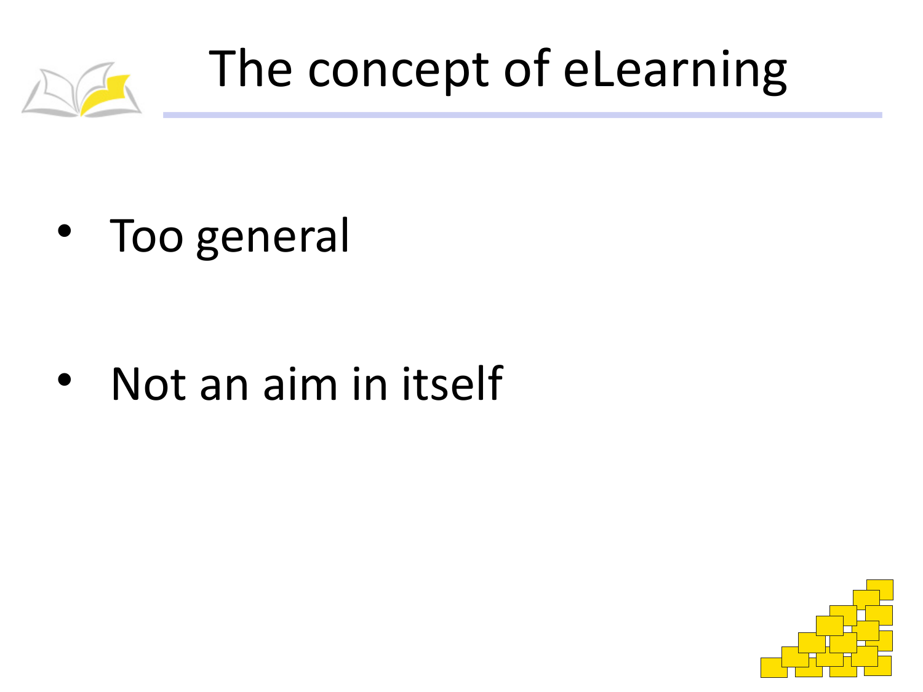

## The concept of eLearning

• Too general

• Not an aim in itself

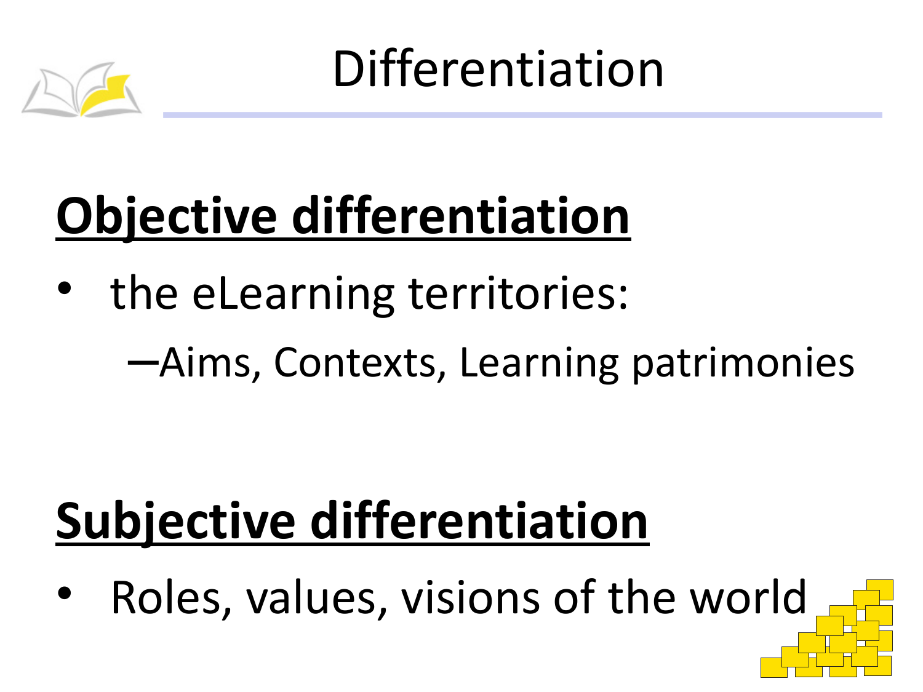

Differentiation

## Objective differentiation

the eLearning territories:

-Aims, Contexts, Learning patrimonies

# **Subjective differentiation**

Roles, values, visions of the world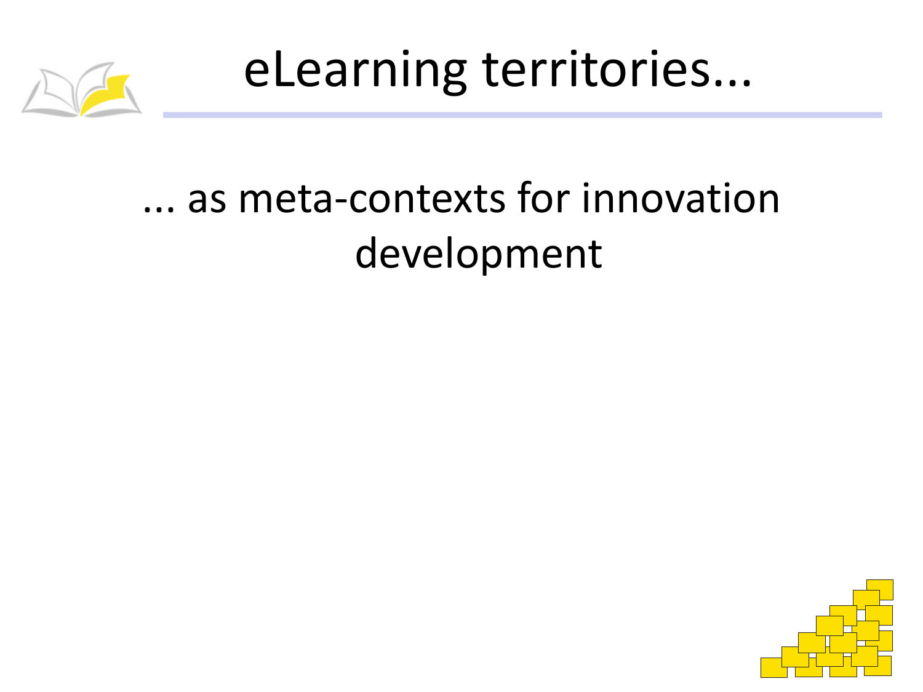

eLearning territories...

#### ... as meta-contexts for innovation development

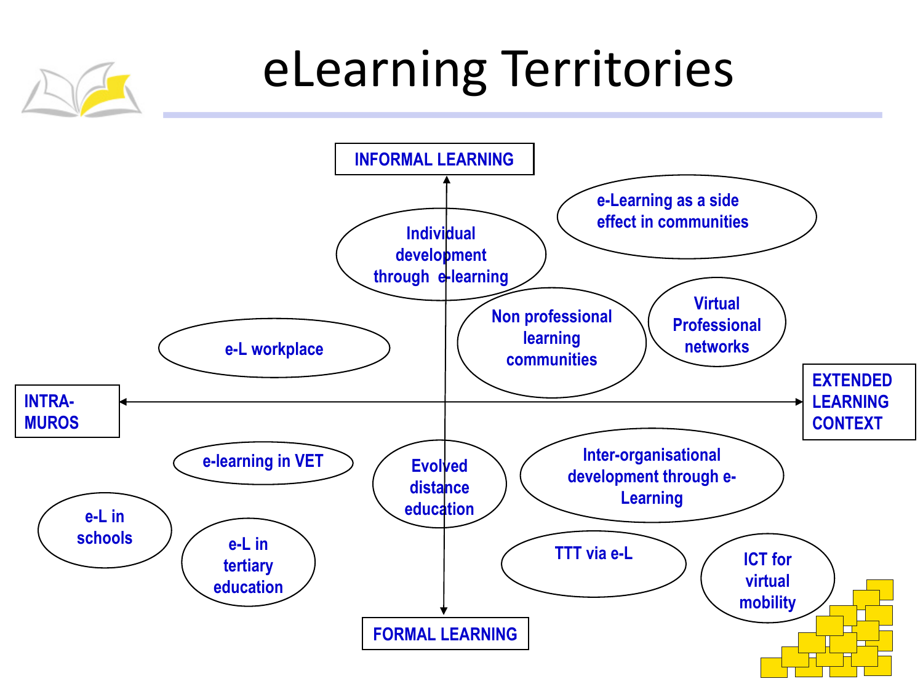## eLearning Territories

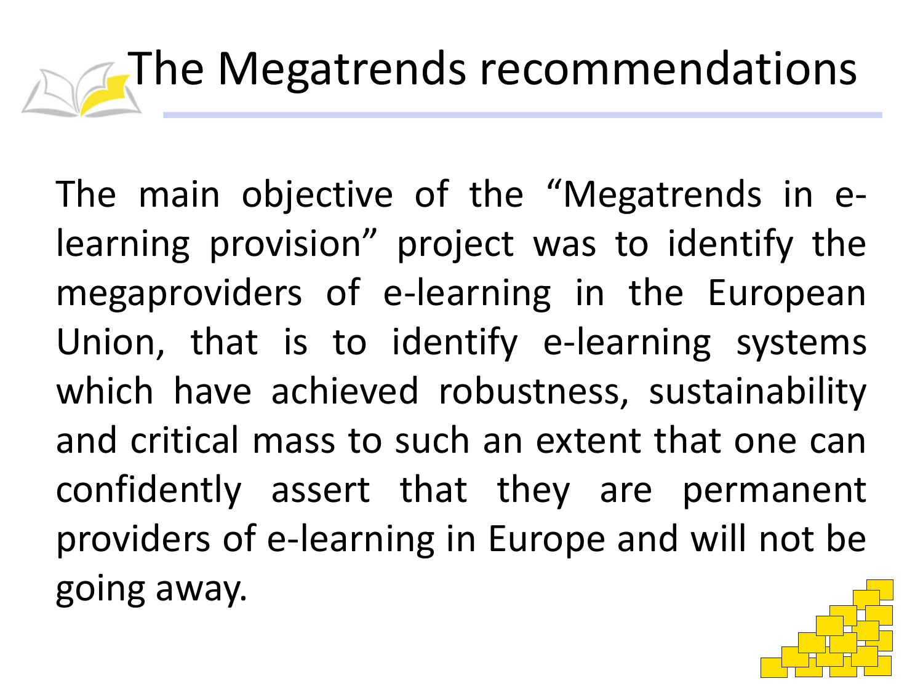# The Megatrends recommendations

The main objective of the "Megatrends in elearning provision" project was to identify the megaproviders of e-learning in the European Union, that is to identify e-learning systems which have achieved robustness, sustainability and critical mass to such an extent that one can confidently assert that they are permanent providers of e-learning in Europe and will not be going away.

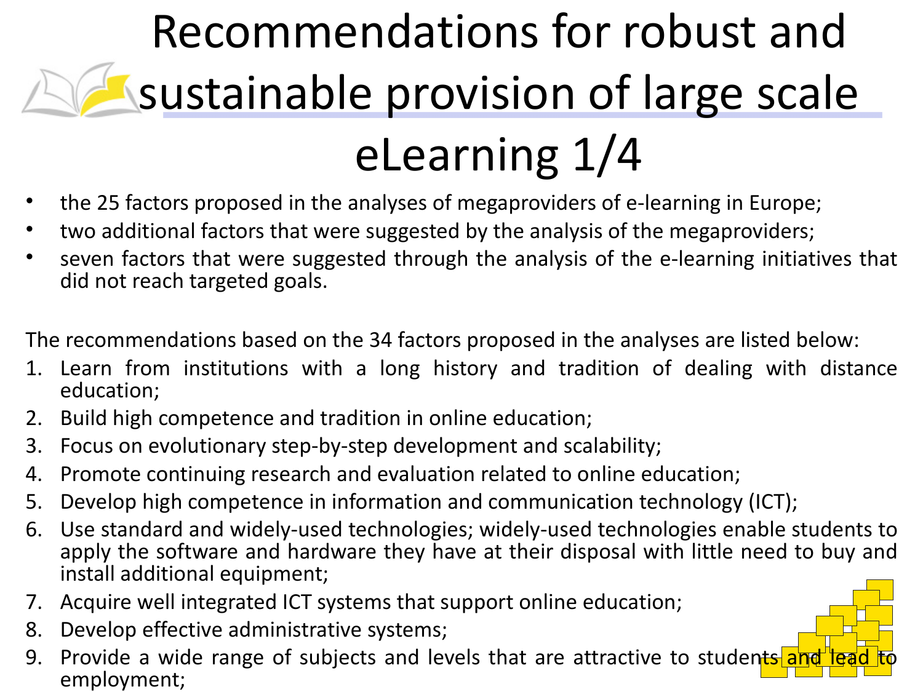## Recommendations for robust and sustainable provision of large scale eLearning 1/4

- the 25 factors proposed in the analyses of megaproviders of e-learning in Europe;
- two additional factors that were suggested by the analysis of the megaproviders;
- seven factors that were suggested through the analysis of the e-learning initiatives that did not reach targeted goals.

The recommendations based on the 34 factors proposed in the analyses are listed below:

- 1. Learn from institutions with a long history and tradition of dealing with distance education;
- 2. Build high competence and tradition in online education;
- 3. Focus on evolutionary step-by-step development and scalability;
- 4. Promote continuing research and evaluation related to online education;
- 5. Develop high competence in information and communication technology (ICT);
- 6. Use standard and widely-used technologies; widely-used technologies enable students to apply the software and hardware they have at their disposal with little need to buy and install additional equipment;
- 7. Acquire well integrated ICT systems that support online education;
- 8. Develop effective administrative systems;
- 9. Provide a wide range of subjects and levels that are attractive to students a employment;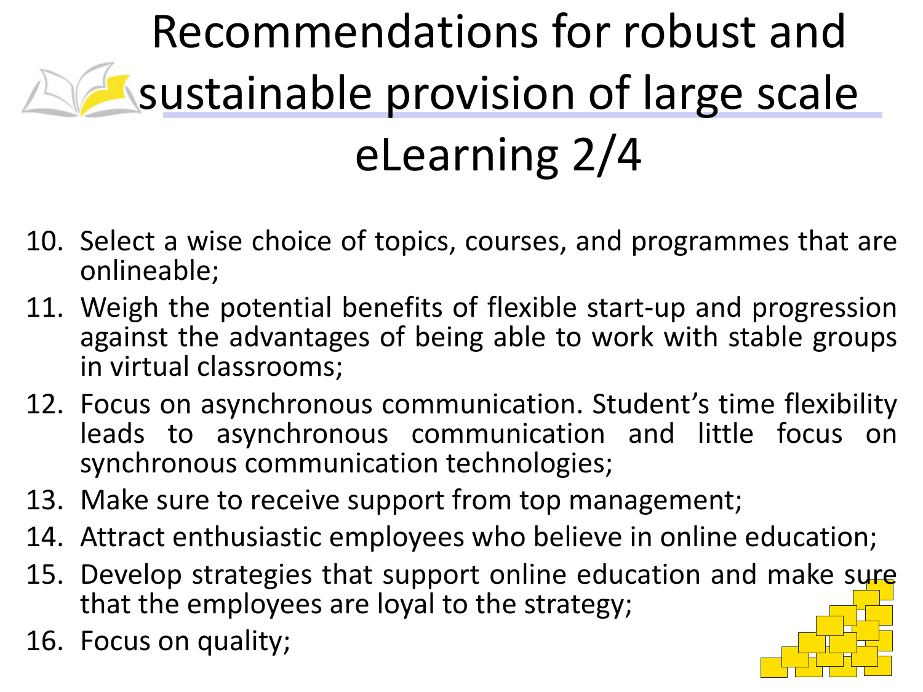## Recommendations for robust and sustainable provision of large scale eLearning 2/4

- 10. Select a wise choice of topics, courses, and programmes that are onlineable;
- 11. Weigh the potential benefits of flexible start-up and progression against the advantages of being able to work with stable groups in virtual classrooms;
- 12. Focus on asynchronous communication. Student's time flexibility leads to asynchronous communication and little focus on synchronous communication technologies;
- 13. Make sure to receive support from top management;
- 14. Attract enthusiastic employees who believe in online education;
- 15. Develop strategies that support online education and make sure that the employees are loyal to the strategy;
- 16. Focus on quality;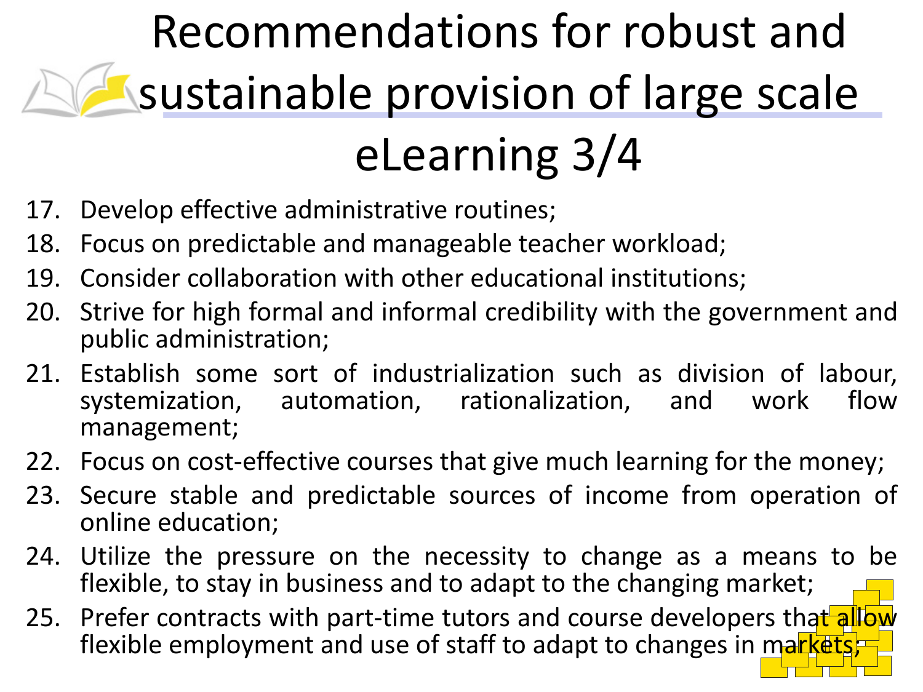### Recommendations for robust and sustainable provision of large scale eLearning 3/4

- 17. Develop effective administrative routines;
- 18. Focus on predictable and manageable teacher workload;
- 19. Consider collaboration with other educational institutions;
- 20. Strive for high formal and informal credibility with the government and public administration;
- 21. Establish some sort of industrialization such as division of labour, systemization, automation, rationalization, and work flow management;
- 22. Focus on cost-effective courses that give much learning for the money;
- 23. Secure stable and predictable sources of income from operation of online education;
- 24. Utilize the pressure on the necessity to change as a means to be flexible, to stay in business and to adapt to the changing market;
- 25. Prefer contracts with part-time tutors and course developers that allow flexible employment and use of staff to adapt to changes in markets;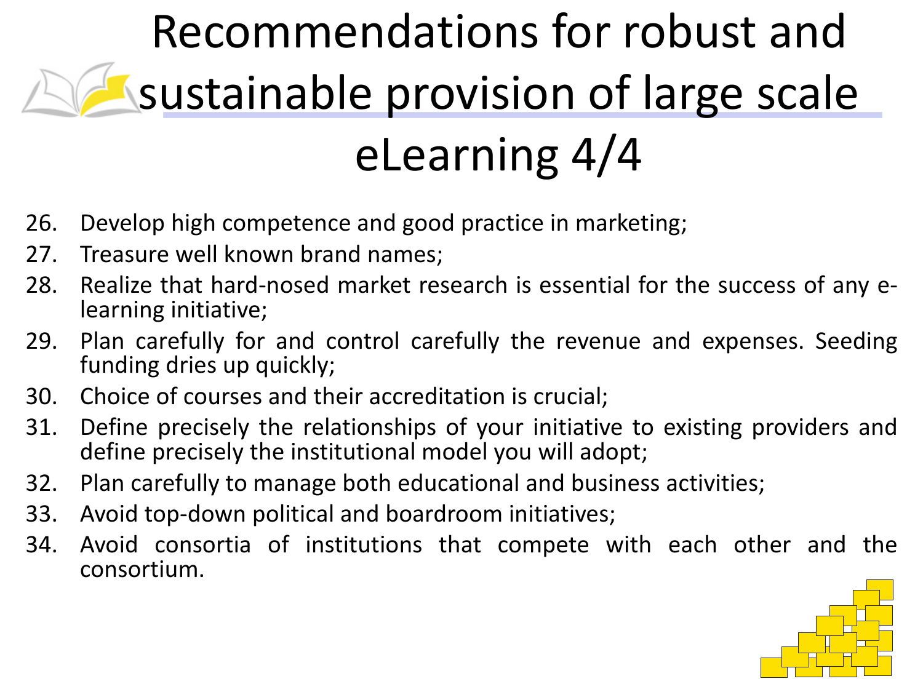## Recommendations for robust and sustainable provision of large scale eLearning 4/4

- 26. Develop high competence and good practice in marketing;
- 27. Treasure well known brand names;
- 28. Realize that hard-nosed market research is essential for the success of any elearning initiative;
- 29. Plan carefully for and control carefully the revenue and expenses. Seeding funding dries up quickly;
- 30. Choice of courses and their accreditation is crucial;
- 31. Define precisely the relationships of your initiative to existing providers and define precisely the institutional model you will adopt;
- 32. Plan carefully to manage both educational and business activities;
- 33. Avoid top-down political and boardroom initiatives;
- 34. Avoid consortia of institutions that compete with each other and the consortium.

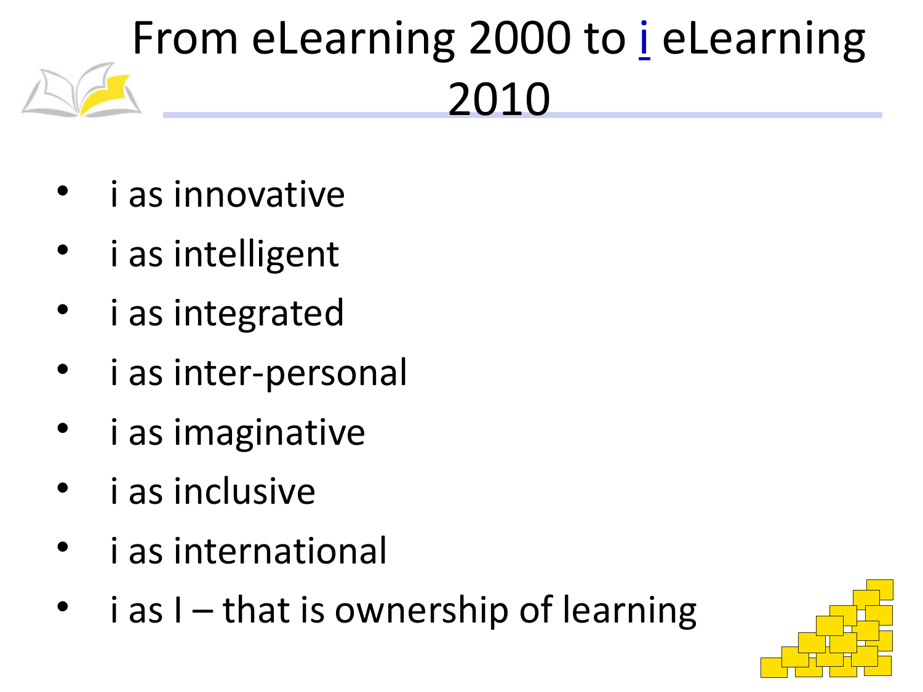## From eLearning 2000 to *i* eLearning 2010

- i as innovative
- i as intelligent
- i as integrated
- i as inter-personal
- i as imaginative
- i as inclusive
- i as international
- $i$  as  $I$  that is ownership of learning

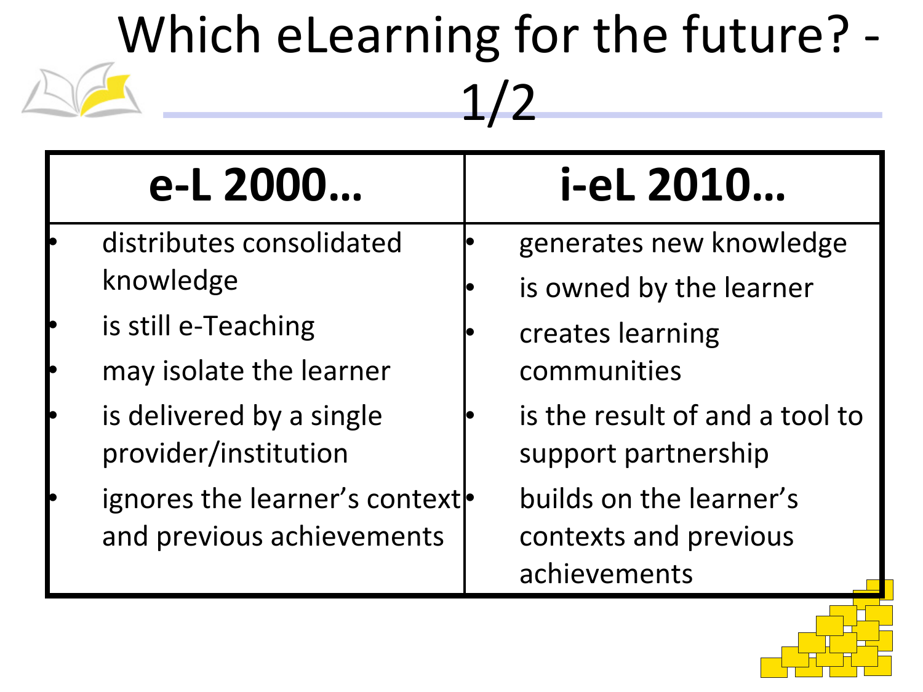## Which eLearning for the future? - 1/2

| e-L 2000                                         | i-eL 2010                                             |
|--------------------------------------------------|-------------------------------------------------------|
| distributes consolidated                         | generates new knowledge                               |
| knowledge                                        | is owned by the learner                               |
| is still e-Teaching                              | creates learning                                      |
| may isolate the learner                          | communities                                           |
| is delivered by a single<br>provider/institution | is the result of and a tool to<br>support partnership |
| ignores the learner's context                    | builds on the learner's                               |
| and previous achievements                        | contexts and previous                                 |
|                                                  | achievements                                          |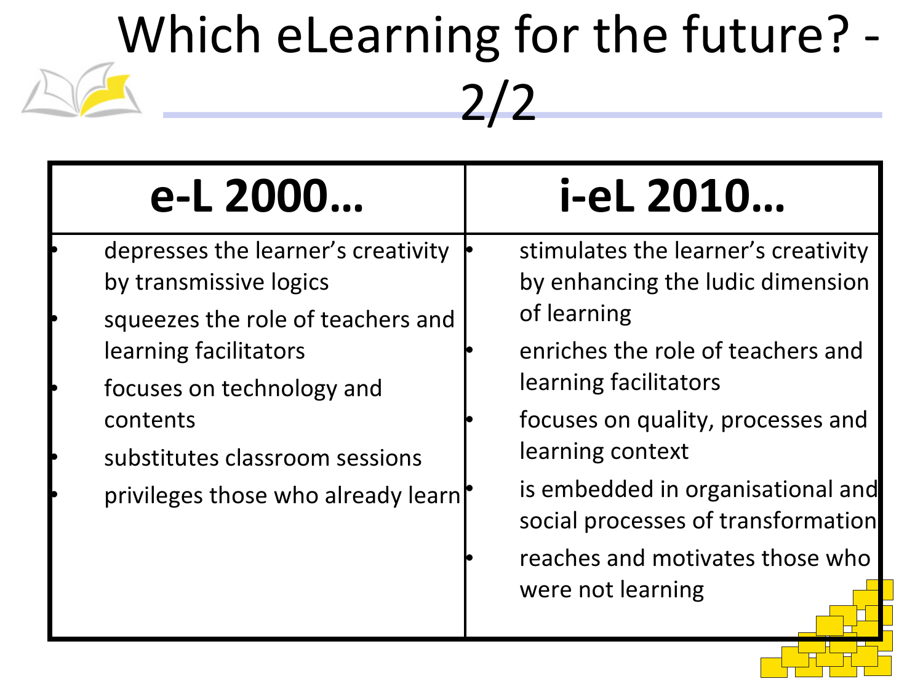# Which eLearning for the future? - 2/2

| e-L 2000                                                                                | i-eL 2010                                                                 |
|-----------------------------------------------------------------------------------------|---------------------------------------------------------------------------|
| depresses the learner's creativity<br>by transmissive logics                            | stimulates the learner's creativity<br>by enhancing the ludic dimension   |
| squeezes the role of teachers and<br>learning facilitators<br>focuses on technology and | of learning<br>enriches the role of teachers and<br>learning facilitators |
| contents<br>substitutes classroom sessions                                              | focuses on quality, processes and<br>learning context                     |
| privileges those who already learn                                                      | is embedded in organisational and<br>social processes of transformation   |
|                                                                                         | reaches and motivates those who<br>were not learning                      |
|                                                                                         |                                                                           |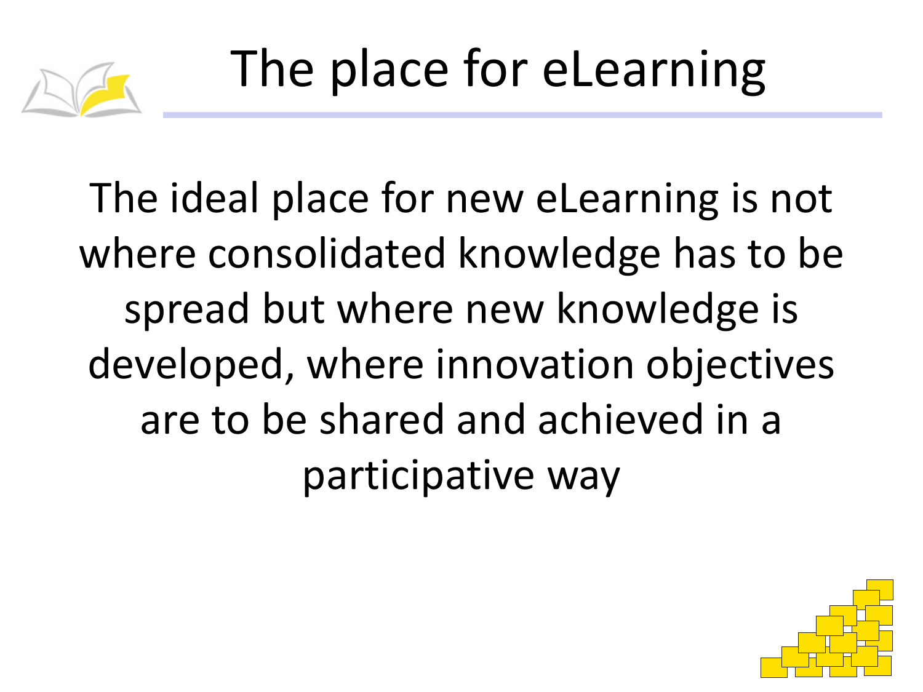

The ideal place for new eLearning is not where consolidated knowledge has to be spread but where new knowledge is developed, where innovation objectives are to be shared and achieved in a participative way

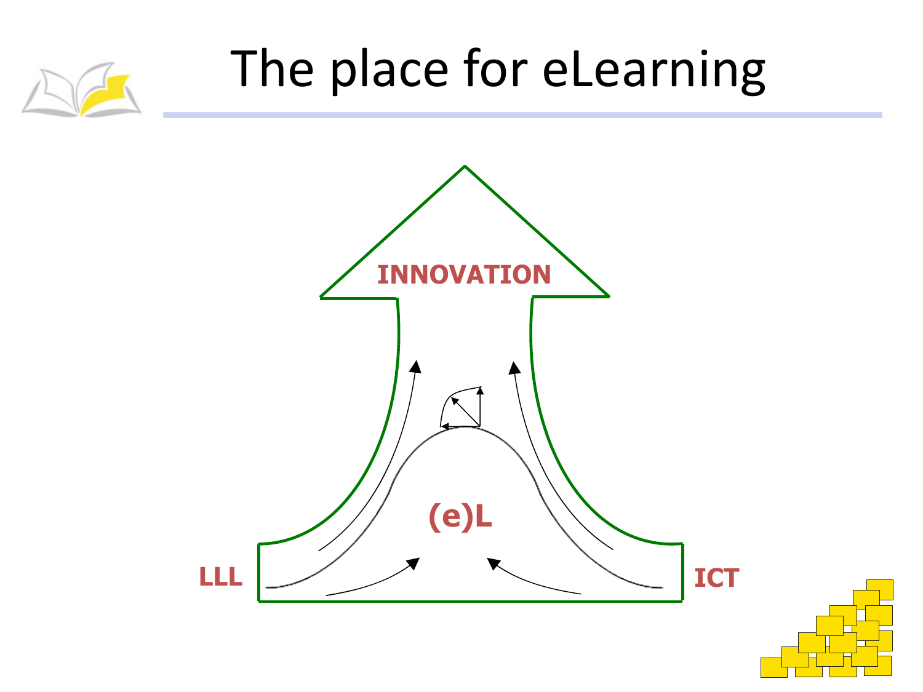

### The place for eLearning



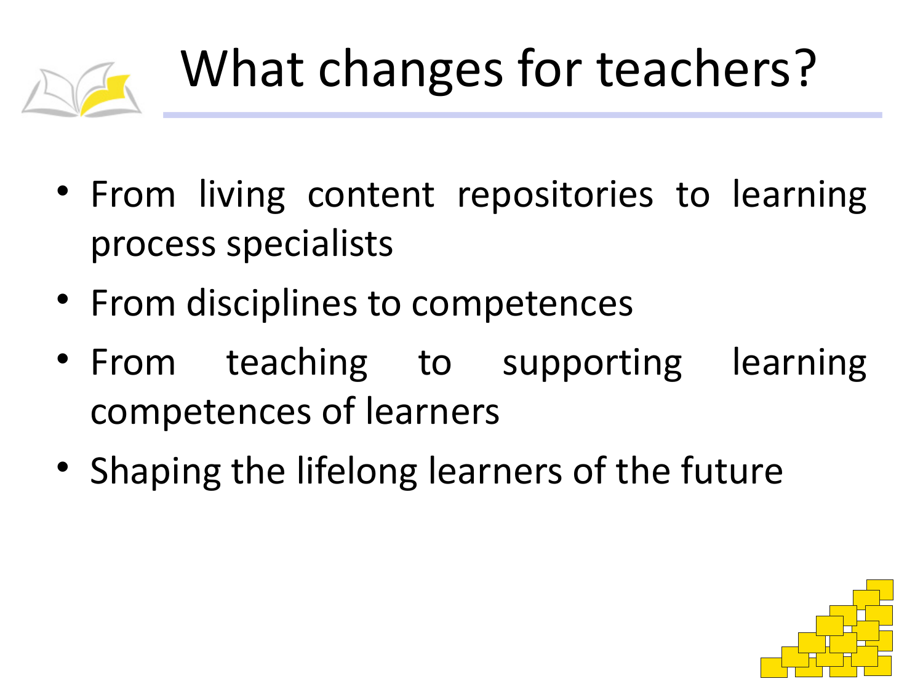

- From living content repositories to learning process specialists
- From disciplines to competences
- From teaching to supporting learning competences of learners
- Shaping the lifelong learners of the future

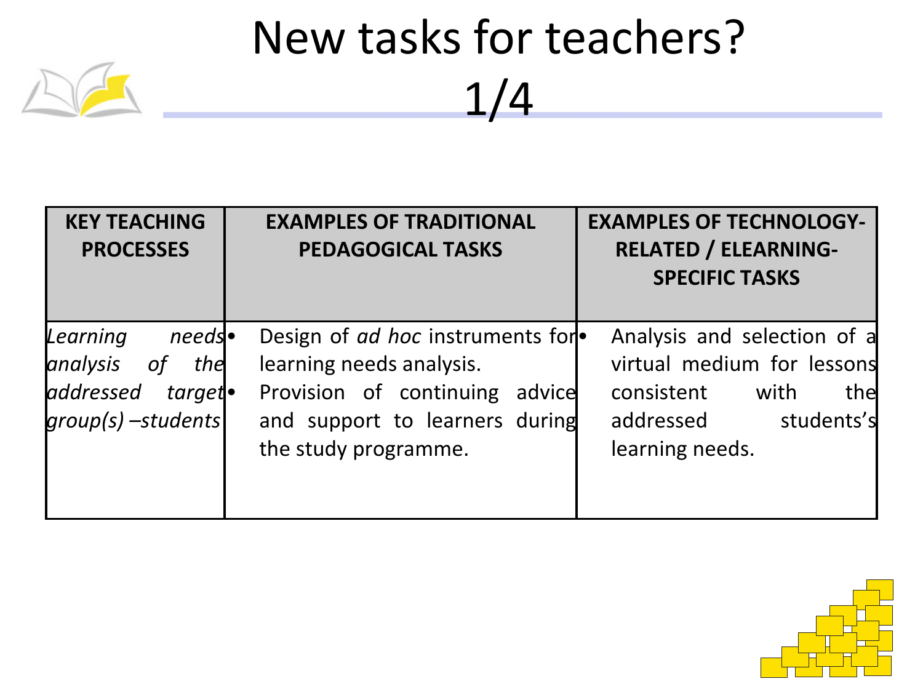| <b>KEY TEACHING</b><br><b>PROCESSES</b>                                                                   | <b>EXAMPLES OF TRADITIONAL</b><br><b>PEDAGOGICAL TASKS</b>                                                                                                      | <b>EXAMPLES OF TECHNOLOGY-</b><br><b>RELATED / ELEARNING-</b><br><b>SPECIFIC TASKS</b>                                            |
|-----------------------------------------------------------------------------------------------------------|-----------------------------------------------------------------------------------------------------------------------------------------------------------------|-----------------------------------------------------------------------------------------------------------------------------------|
| Learning<br>$needs\bullet$<br>analysis<br><i>of</i><br>the<br>addressed<br>target.<br>$groups)$ -students | Design of <i>ad hoc</i> instruments for<br>learning needs analysis.<br>Provision of continuing advice<br>and support to learners during<br>the study programme. | Analysis and selection of a<br>virtual medium for lessons<br>consistent with<br>the<br>addressed<br>students's<br>learning needs. |

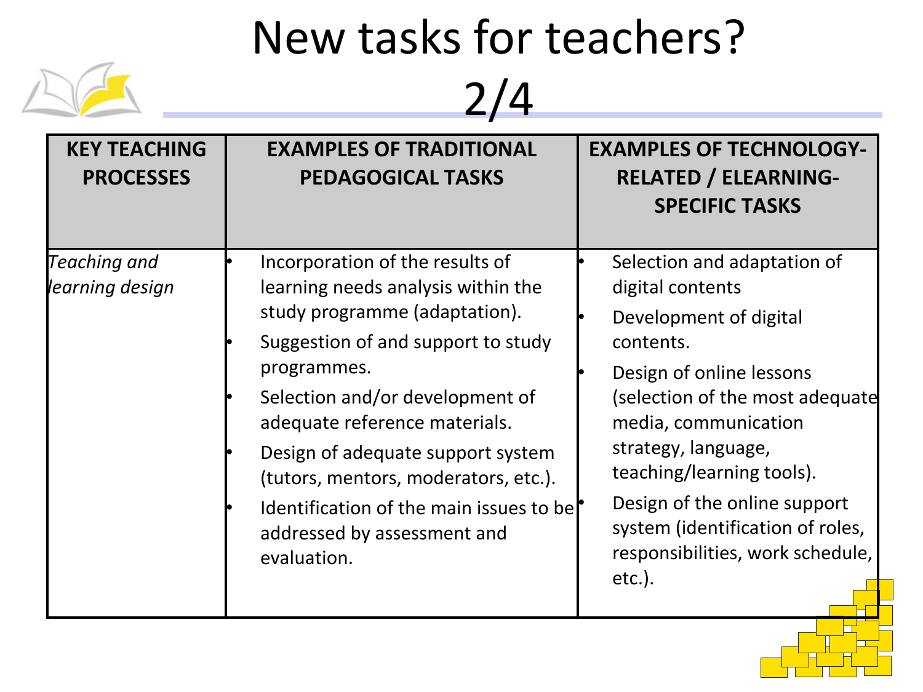

| <b>KEY TEACHING</b><br><b>PROCESSES</b> | <b>EXAMPLES OF TRADITIONAL</b><br><b>PEDAGOGICAL TASKS</b>                                                                                                                                                                                                                                                                                                                                            | <b>EXAMPLES OF TECHNOLOGY-</b><br><b>RELATED / ELEARNING-</b><br><b>SPECIFIC TASKS</b>                                                                                                                                                                                                                                                                 |
|-----------------------------------------|-------------------------------------------------------------------------------------------------------------------------------------------------------------------------------------------------------------------------------------------------------------------------------------------------------------------------------------------------------------------------------------------------------|--------------------------------------------------------------------------------------------------------------------------------------------------------------------------------------------------------------------------------------------------------------------------------------------------------------------------------------------------------|
| Teaching and<br>learning design         | Incorporation of the results of<br>learning needs analysis within the<br>study programme (adaptation).<br>Suggestion of and support to study<br>programmes.<br>Selection and/or development of<br>adequate reference materials.<br>Design of adequate support system<br>(tutors, mentors, moderators, etc.).<br>Identification of the main issues to be<br>addressed by assessment and<br>evaluation. | Selection and adaptation of<br>digital contents<br>Development of digital<br>contents.<br>Design of online lessons<br>(selection of the most adequate<br>media, communication<br>strategy, language,<br>teaching/learning tools).<br>Design of the online support<br>system (identification of roles,<br>responsibilities, work schedule,<br>$etc.$ ). |

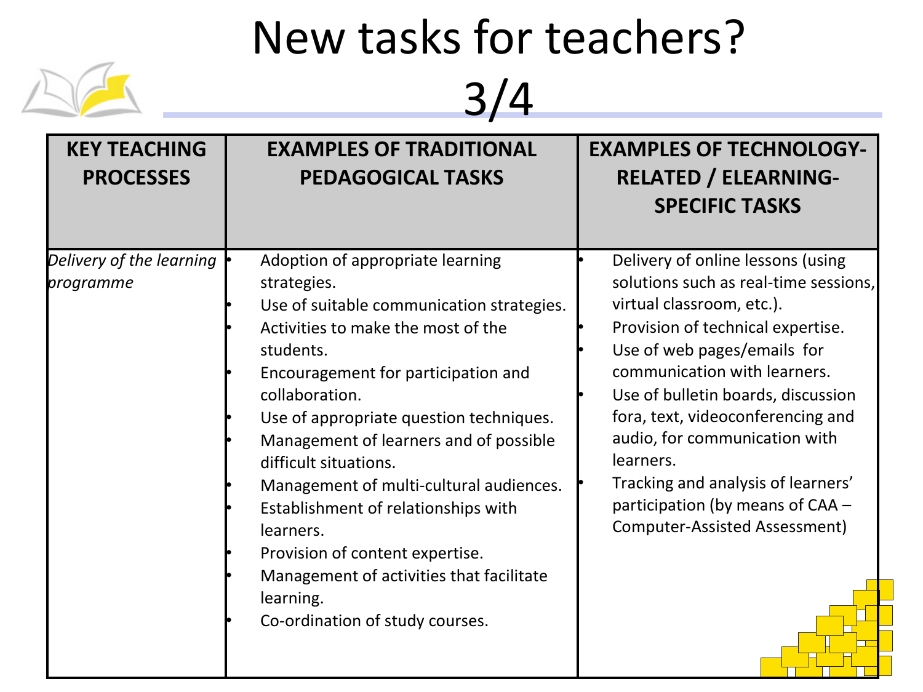

| Delivery of the learning<br>programme<br>strategies.<br>students. |                                                                                                                                                                                                                                                                                                                                                                                                                                                     | <b>SPECIFIC TASKS</b>                                                                                                                                                                                                                                                                                                                                                                                                                                  |
|-------------------------------------------------------------------|-----------------------------------------------------------------------------------------------------------------------------------------------------------------------------------------------------------------------------------------------------------------------------------------------------------------------------------------------------------------------------------------------------------------------------------------------------|--------------------------------------------------------------------------------------------------------------------------------------------------------------------------------------------------------------------------------------------------------------------------------------------------------------------------------------------------------------------------------------------------------------------------------------------------------|
| collaboration.<br>difficult situations.<br>learners.<br>learning. | Adoption of appropriate learning<br>Use of suitable communication strategies.<br>Activities to make the most of the<br>Encouragement for participation and<br>Use of appropriate question techniques.<br>Management of learners and of possible<br>Management of multi-cultural audiences.<br>Establishment of relationships with<br>Provision of content expertise.<br>Management of activities that facilitate<br>Co-ordination of study courses. | Delivery of online lessons (using<br>solutions such as real-time sessions,<br>virtual classroom, etc.).<br>Provision of technical expertise.<br>Use of web pages/emails for<br>communication with learners.<br>Use of bulletin boards, discussion<br>fora, text, videoconferencing and<br>audio, for communication with<br>learners.<br>Tracking and analysis of learners'<br>participation (by means of CAA -<br><b>Computer-Assisted Assessment)</b> |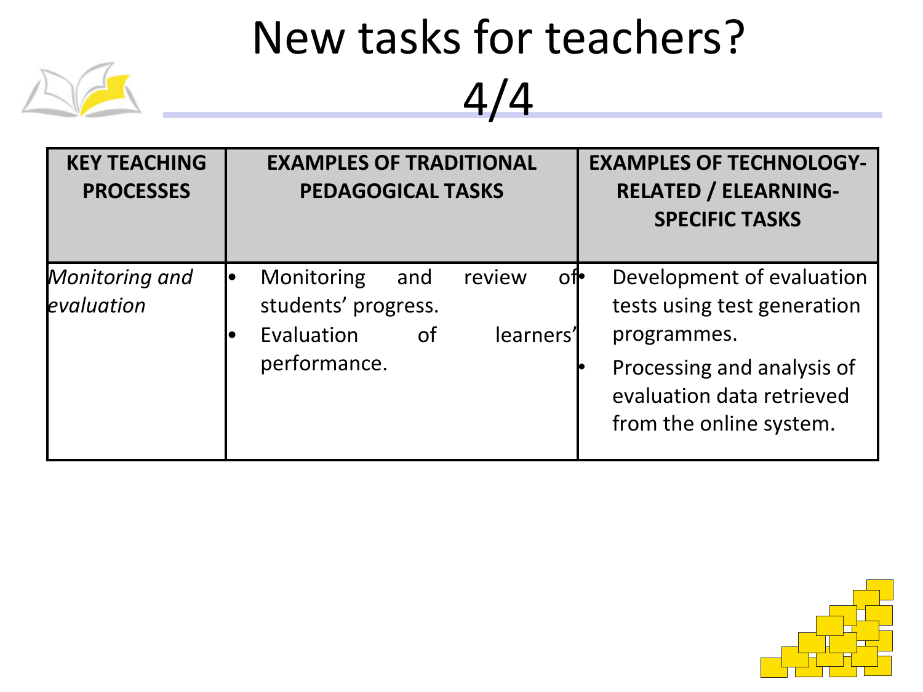

| <b>KEY TEACHING</b><br><b>PROCESSES</b> | <b>EXAMPLES OF TRADITIONAL</b><br><b>PEDAGOGICAL TASKS</b>                                         | <b>EXAMPLES OF TECHNOLOGY-</b><br><b>RELATED / ELEARNING-</b><br><b>SPECIFIC TASKS</b> |
|-----------------------------------------|----------------------------------------------------------------------------------------------------|----------------------------------------------------------------------------------------|
| Monitoring and<br>evaluation            | Monitoring<br>review<br>ofl•<br>and<br>students' progress.<br>Evaluation<br>learners'<br><b>of</b> | Development of evaluation<br>tests using test generation<br>programmes.                |
|                                         | performance.                                                                                       | Processing and analysis of<br>evaluation data retrieved<br>from the online system.     |

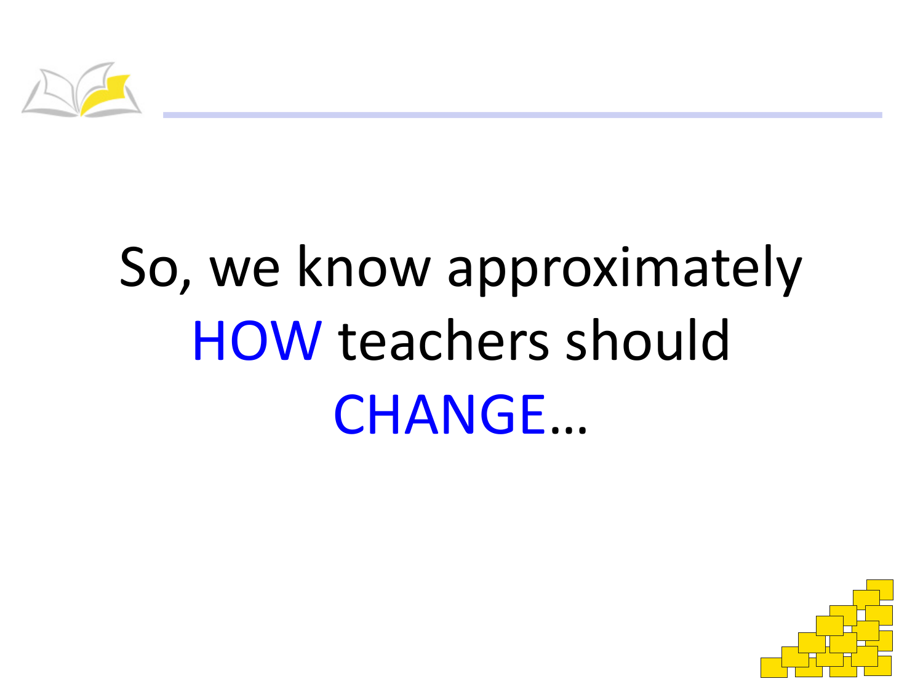

# So, we know approximately HOW teachers should CHANGE…

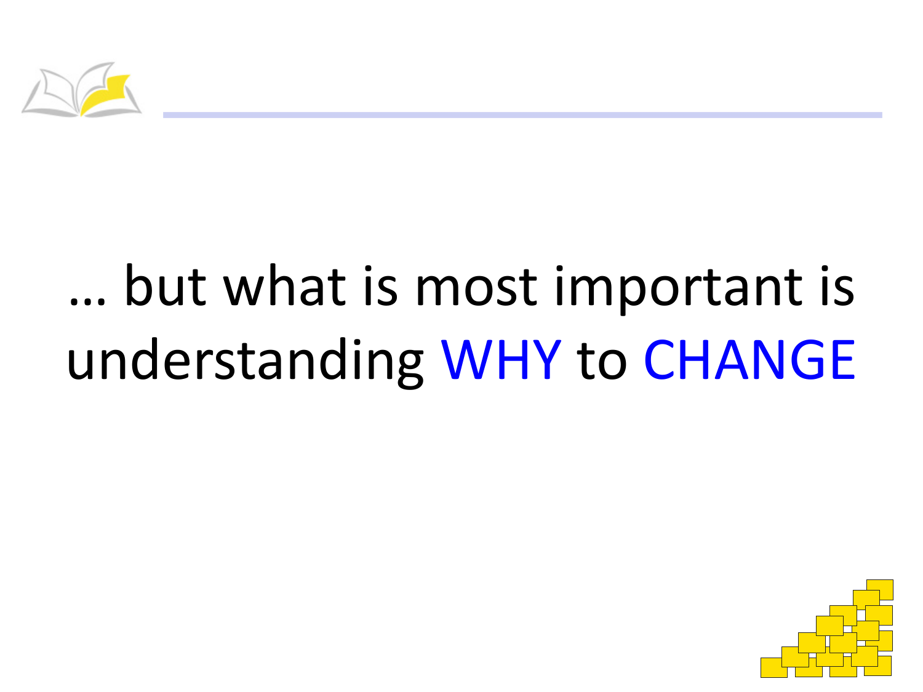

# ... but what is most important is understanding WHY to CHANGE